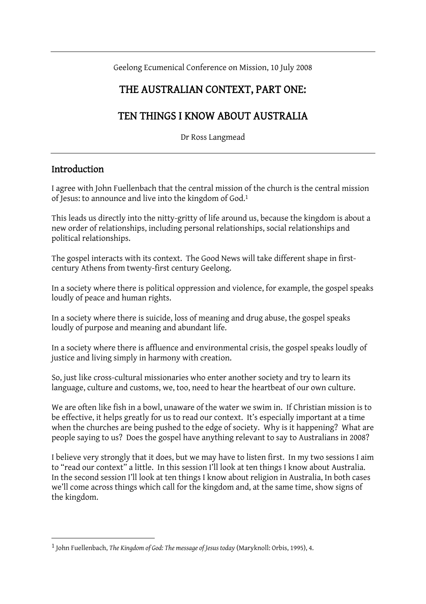Geelong Ecumenical Conference on Mission, 10 July 2008

#### THE AUSTRALIAN CONTEXT, PART ONE:

## TEN THINGS I KNOW ABOUT AUSTRALIA

Dr Ross Langmead

#### **Introduction**

 $\overline{a}$ 

I agree with John Fuellenbach that the central mission of the church is the central mission of Jesus: to announce and live into the kingdom of God.1

This leads us directly into the nitty-gritty of life around us, because the kingdom is about a new order of relationships, including personal relationships, social relationships and political relationships.

The gospel interacts with its context. The Good News will take different shape in firstcentury Athens from twenty-first century Geelong.

In a society where there is political oppression and violence, for example, the gospel speaks loudly of peace and human rights.

In a society where there is suicide, loss of meaning and drug abuse, the gospel speaks loudly of purpose and meaning and abundant life.

In a society where there is affluence and environmental crisis, the gospel speaks loudly of justice and living simply in harmony with creation.

So, just like cross-cultural missionaries who enter another society and try to learn its language, culture and customs, we, too, need to hear the heartbeat of our own culture.

We are often like fish in a bowl, unaware of the water we swim in. If Christian mission is to be effective, it helps greatly for us to read our context. It's especially important at a time when the churches are being pushed to the edge of society. Why is it happening? What are people saying to us? Does the gospel have anything relevant to say to Australians in 2008?

I believe very strongly that it does, but we may have to listen first. In my two sessions I aim to "read our context" a little. In this session I'll look at ten things I know about Australia. In the second session I'll look at ten things I know about religion in Australia, In both cases we'll come across things which call for the kingdom and, at the same time, show signs of the kingdom.

<sup>1</sup> John Fuellenbach, *The Kingdom of God: The message of Jesus today* (Maryknoll: Orbis, 1995), 4.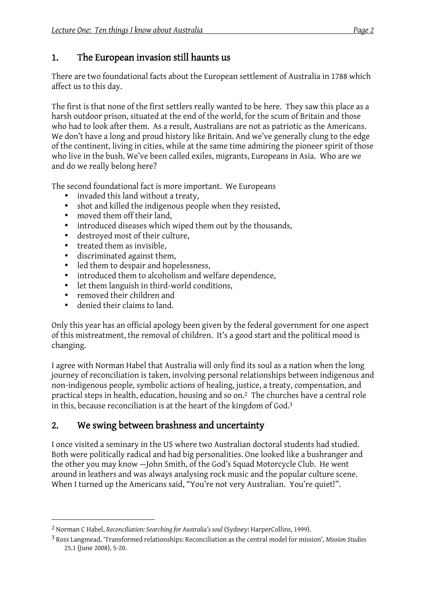### 1. The European invasion still haunts us

There are two foundational facts about the European settlement of Australia in 1788 which affect us to this day.

The first is that none of the first settlers really wanted to be here. They saw this place as a harsh outdoor prison, situated at the end of the world, for the scum of Britain and those who had to look after them. As a result, Australians are not as patriotic as the Americans. We don't have a long and proud history like Britain. And we've generally clung to the edge of the continent, living in cities, while at the same time admiring the pioneer spirit of those who live in the bush. We've been called exiles, migrants, Europeans in Asia. Who are we and do we really belong here?

The second foundational fact is more important. We Europeans

- invaded this land without a treaty,
- shot and killed the indigenous people when they resisted,
- moved them off their land,
- introduced diseases which wiped them out by the thousands,
- destroyed most of their culture,
- treated them as invisible,
- discriminated against them,<br>• led them to despair and hope
- led them to despair and hopelessness,
- introduced them to alcoholism and welfare dependence,
- let them languish in third-world conditions,
- removed their children and
- denied their claims to land.

 $\overline{a}$ 

Only this year has an official apology been given by the federal government for one aspect of this mistreatment, the removal of children. It's a good start and the political mood is changing.

I agree with Norman Habel that Australia will only find its soul as a nation when the long journey of reconciliation is taken, involving personal relationships between indigenous and non-indigenous people, symbolic actions of healing, justice, a treaty, compensation, and practical steps in health, education, housing and so on.2 The churches have a central role in this, because reconciliation is at the heart of the kingdom of God.3

# 2. We swing between brashness and uncertainty

I once visited a seminary in the US where two Australian doctoral students had studied. Both were politically radical and had big personalities. One looked like a bushranger and the other you may know —John Smith, of the God's Squad Motorcycle Club. He went around in leathers and was always analysing rock music and the popular culture scene. When I turned up the Americans said, "You're not very Australian. You're quiet!".

<sup>2</sup> Norman C Habel, *Reconciliation: Searching for Australia's soul* (Sydney: HarperCollins, 1999).

<sup>3</sup> Ross Langmead, 'Transformed relationships: Reconciliation as the central model for mission', *Mission Studies* 25.1 (June 2008), 5-20.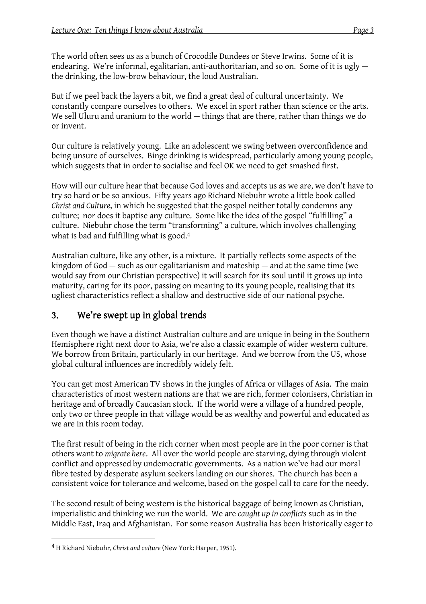The world often sees us as a bunch of Crocodile Dundees or Steve Irwins. Some of it is endearing. We're informal, egalitarian, anti-authoritarian, and so on. Some of it is ugly the drinking, the low-brow behaviour, the loud Australian.

But if we peel back the layers a bit, we find a great deal of cultural uncertainty. We constantly compare ourselves to others. We excel in sport rather than science or the arts. We sell Uluru and uranium to the world — things that are there, rather than things we do or invent.

Our culture is relatively young. Like an adolescent we swing between overconfidence and being unsure of ourselves. Binge drinking is widespread, particularly among young people, which suggests that in order to socialise and feel OK we need to get smashed first.

How will our culture hear that because God loves and accepts us as we are, we don't have to try so hard or be so anxious. Fifty years ago Richard Niebuhr wrote a little book called *Christ and Culture*, in which he suggested that the gospel neither totally condemns any culture; nor does it baptise any culture. Some like the idea of the gospel "fulfilling" a culture. Niebuhr chose the term "transforming" a culture, which involves challenging what is bad and fulfilling what is good.<sup>4</sup>

Australian culture, like any other, is a mixture. It partially reflects some aspects of the kingdom of God  $-$  such as our egalitarianism and mateship  $-$  and at the same time (we would say from our Christian perspective) it will search for its soul until it grows up into maturity, caring for its poor, passing on meaning to its young people, realising that its ugliest characteristics reflect a shallow and destructive side of our national psyche.

### 3. We're swept up in global trends

Even though we have a distinct Australian culture and are unique in being in the Southern Hemisphere right next door to Asia, we're also a classic example of wider western culture. We borrow from Britain, particularly in our heritage. And we borrow from the US, whose global cultural influences are incredibly widely felt.

You can get most American TV shows in the jungles of Africa or villages of Asia. The main characteristics of most western nations are that we are rich, former colonisers, Christian in heritage and of broadly Caucasian stock. If the world were a village of a hundred people, only two or three people in that village would be as wealthy and powerful and educated as we are in this room today.

The first result of being in the rich corner when most people are in the poor corner is that others want to *migrate here*. All over the world people are starving, dying through violent conflict and oppressed by undemocratic governments. As a nation we've had our moral fibre tested by desperate asylum seekers landing on our shores. The church has been a consistent voice for tolerance and welcome, based on the gospel call to care for the needy.

The second result of being western is the historical baggage of being known as Christian, imperialistic and thinking we run the world. We are *caught up in conflicts* such as in the Middle East, Iraq and Afghanistan. For some reason Australia has been historically eager to

<sup>4</sup> H Richard Niebuhr, *Christ and culture* (New York: Harper, 1951).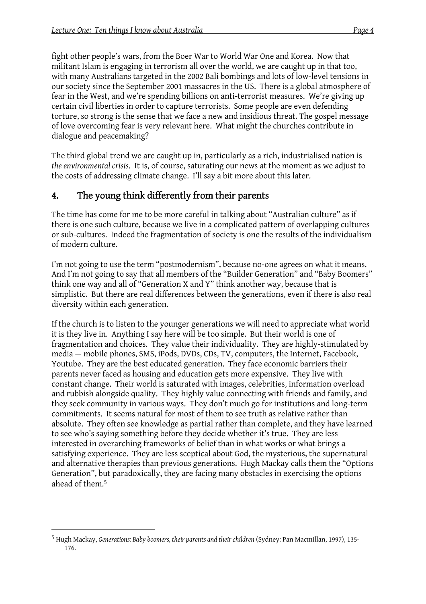fight other people's wars, from the Boer War to World War One and Korea. Now that militant Islam is engaging in terrorism all over the world, we are caught up in that too, with many Australians targeted in the 2002 Bali bombings and lots of low-level tensions in our society since the September 2001 massacres in the US. There is a global atmosphere of fear in the West, and we're spending billions on anti-terrorist measures. We're giving up certain civil liberties in order to capture terrorists. Some people are even defending torture, so strong is the sense that we face a new and insidious threat. The gospel message of love overcoming fear is very relevant here. What might the churches contribute in dialogue and peacemaking?

The third global trend we are caught up in, particularly as a rich, industrialised nation is *the environmental crisis*. It is, of course, saturating our news at the moment as we adjust to the costs of addressing climate change. I'll say a bit more about this later.

#### 4. The young think differently from their parents

The time has come for me to be more careful in talking about "Australian culture" as if there is one such culture, because we live in a complicated pattern of overlapping cultures or sub-cultures. Indeed the fragmentation of society is one the results of the individualism of modern culture.

I'm not going to use the term "postmodernism", because no-one agrees on what it means. And I'm not going to say that all members of the "Builder Generation" and "Baby Boomers" think one way and all of "Generation X and Y" think another way, because that is simplistic. But there are real differences between the generations, even if there is also real diversity within each generation.

If the church is to listen to the younger generations we will need to appreciate what world it is they live in. Anything I say here will be too simple. But their world is one of fragmentation and choices. They value their individuality. They are highly-stimulated by media — mobile phones, SMS, iPods, DVDs, CDs, TV, computers, the Internet, Facebook, Youtube. They are the best educated generation. They face economic barriers their parents never faced as housing and education gets more expensive. They live with constant change. Their world is saturated with images, celebrities, information overload and rubbish alongside quality. They highly value connecting with friends and family, and they seek community in various ways. They don't much go for institutions and long-term commitments. It seems natural for most of them to see truth as relative rather than absolute. They often see knowledge as partial rather than complete, and they have learned to see who's saying something before they decide whether it's true. They are less interested in overarching frameworks of belief than in what works or what brings a satisfying experience. They are less sceptical about God, the mysterious, the supernatural and alternative therapies than previous generations. Hugh Mackay calls them the "Options Generation", but paradoxically, they are facing many obstacles in exercising the options ahead of them.5

<sup>5</sup> Hugh Mackay, *Generations: Baby boomers, their parents and their children* (Sydney: Pan Macmillan, 1997), 135- 176.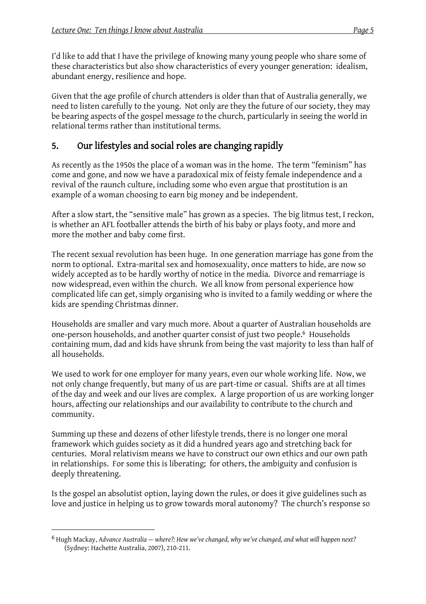I'd like to add that I have the privilege of knowing many young people who share some of these characteristics but also show characteristics of every younger generation: idealism, abundant energy, resilience and hope.

Given that the age profile of church attenders is older than that of Australia generally, we need to listen carefully to the young. Not only are they the future of our society, they may be bearing aspects of the gospel message *to* the church, particularly in seeing the world in relational terms rather than institutional terms.

### 5. Our lifestyles and social roles are changing rapidly

As recently as the 1950s the place of a woman was in the home. The term "feminism" has come and gone, and now we have a paradoxical mix of feisty female independence and a revival of the raunch culture, including some who even argue that prostitution is an example of a woman choosing to earn big money and be independent.

After a slow start, the "sensitive male" has grown as a species. The big litmus test, I reckon, is whether an AFL footballer attends the birth of his baby or plays footy, and more and more the mother and baby come first.

The recent sexual revolution has been huge. In one generation marriage has gone from the norm to optional. Extra-marital sex and homosexuality, once matters to hide, are now so widely accepted as to be hardly worthy of notice in the media. Divorce and remarriage is now widespread, even within the church. We all know from personal experience how complicated life can get, simply organising who is invited to a family wedding or where the kids are spending Christmas dinner.

Households are smaller and vary much more. About a quarter of Australian households are one-person households, and another quarter consist of just two people.6 Households containing mum, dad and kids have shrunk from being the vast majority to less than half of all households.

We used to work for one employer for many years, even our whole working life. Now, we not only change frequently, but many of us are part-time or casual. Shifts are at all times of the day and week and our lives are complex. A large proportion of us are working longer hours, affecting our relationships and our availability to contribute to the church and community.

Summing up these and dozens of other lifestyle trends, there is no longer one moral framework which guides society as it did a hundred years ago and stretching back for centuries. Moral relativism means we have to construct our own ethics and our own path in relationships. For some this is liberating; for others, the ambiguity and confusion is deeply threatening.

Is the gospel an absolutist option, laying down the rules, or does it give guidelines such as love and justice in helping us to grow towards moral autonomy? The church's response so

<sup>6</sup> Hugh Mackay, *Advance Australia — where?: How we've changed, why we've changed, and what will happen next?* (Sydney: Hachette Australia, 2007), 210-211.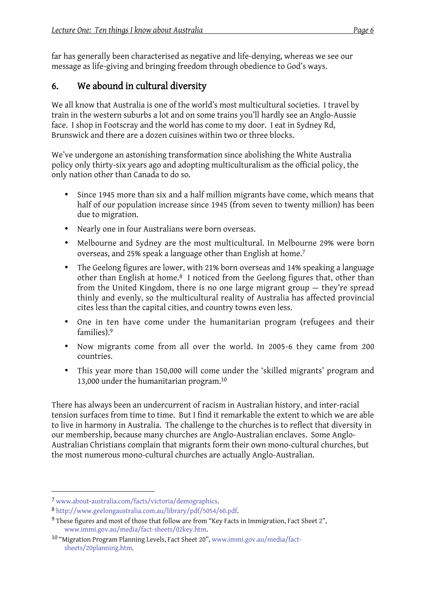far has generally been characterised as negative and life-denying, whereas we see our message as life-giving and bringing freedom through obedience to God's ways.

#### 6. We abound in cultural diversity

We all know that Australia is one of the world's most multicultural societies. I travel by train in the western suburbs a lot and on some trains you'll hardly see an Anglo-Aussie face. I shop in Footscray and the world has come to my door. I eat in Sydney Rd, Brunswick and there are a dozen cuisines within two or three blocks.

We've undergone an astonishing transformation since abolishing the White Australia policy only thirty-six years ago and adopting multiculturalism as the official policy, the only nation other than Canada to do so.

- Since 1945 more than six and a half million migrants have come, which means that half of our population increase since 1945 (from seven to twenty million) has been due to migration.
- Nearly one in four Australians were born overseas.
- Melbourne and Sydney are the most multicultural. In Melbourne 29% were born overseas, and 25% speak a language other than English at home.7
- The Geelong figures are lower, with 21% born overseas and 14% speaking a language other than English at home. <sup>8</sup> I noticed from the Geelong figures that, other than from the United Kingdom, there is no one large migrant group — they're spread thinly and evenly, so the multicultural reality of Australia has affected provincial cites less than the capital cities, and country towns even less.
- One in ten have come under the humanitarian program (refugees and their families).9
- Now migrants come from all over the world. In 2005-6 they came from 200 countries.
- This year more than 150,000 will come under the 'skilled migrants' program and 13,000 under the humanitarian program.10

There has always been an undercurrent of racism in Australian history, and inter-racial tension surfaces from time to time. But I find it remarkable the extent to which we are able to live in harmony in Australia. The challenge to the churches is to reflect that diversity in our membership, because many churches are Anglo-Australian enclaves. Some Anglo-Australian Christians complain that migrants form their own mono-cultural churches, but the most numerous mono-cultural churches are actually Anglo-Australian.

<sup>7</sup> www.about-australia.com/facts/victoria/demographics.

<sup>8</sup> http://www.geelongaustralia.com.au/library/pdf/5054/60.pdf.

<sup>9</sup> These figures and most of those that follow are from "Key Facts in Immigration, Fact Sheet 2", www.immi.gov.au/media/fact-sheets/02key.htm.

<sup>10 &</sup>quot;Migration Program Planning Levels, Fact Sheet 20", www.immi.gov.au/media/factsheets/20planning.htm.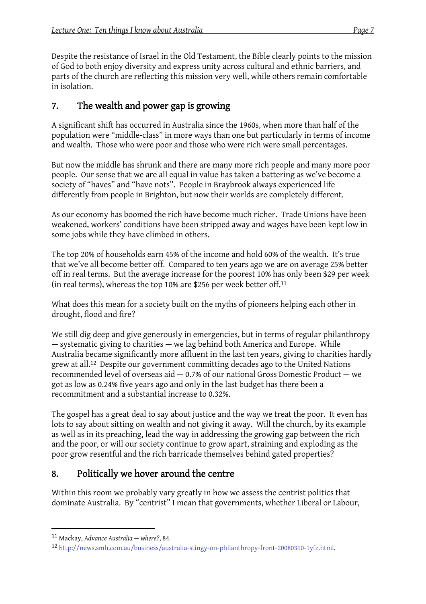Despite the resistance of Israel in the Old Testament, the Bible clearly points to the mission of God to both enjoy diversity and express unity across cultural and ethnic barriers, and parts of the church are reflecting this mission very well, while others remain comfortable in isolation.

## 7. The wealth and power gap is growing

A significant shift has occurred in Australia since the 1960s, when more than half of the population were "middle-class" in more ways than one but particularly in terms of income and wealth. Those who were poor and those who were rich were small percentages.

But now the middle has shrunk and there are many more rich people and many more poor people. Our sense that we are all equal in value has taken a battering as we've become a society of "haves" and "have nots". People in Braybrook always experienced life differently from people in Brighton, but now their worlds are completely different.

As our economy has boomed the rich have become much richer. Trade Unions have been weakened, workers' conditions have been stripped away and wages have been kept low in some jobs while they have climbed in others.

The top 20% of households earn 45% of the income and hold 60% of the wealth. It's true that we've all become better off. Compared to ten years ago we are on average 25% better off in real terms. But the average increase for the poorest 10% has only been \$29 per week (in real terms), whereas the top 10% are \$256 per week better off.11

What does this mean for a society built on the myths of pioneers helping each other in drought, flood and fire?

We still dig deep and give generously in emergencies, but in terms of regular philanthropy — systematic giving to charities — we lag behind both America and Europe. While Australia became significantly more affluent in the last ten years, giving to charities hardly grew at all.12 Despite our government committing decades ago to the United Nations recommended level of overseas aid — 0.7% of our national Gross Domestic Product — we got as low as 0.24% five years ago and only in the last budget has there been a recommitment and a substantial increase to 0.32%.

The gospel has a great deal to say about justice and the way we treat the poor. It even has lots to say about sitting on wealth and not giving it away. Will the church, by its example as well as in its preaching, lead the way in addressing the growing gap between the rich and the poor, or will our society continue to grow apart, straining and exploding as the poor grow resentful and the rich barricade themselves behind gated properties?

# 8. Politically we hover around the centre

Within this room we probably vary greatly in how we assess the centrist politics that dominate Australia. By "centrist" I mean that governments, whether Liberal or Labour,

<sup>11</sup> Mackay, *Advance Australia — where?*, 84.

<sup>12</sup> http://news.smh.com.au/business/australia-stingy-on-philanthropy-front-20080310-1yfz.html.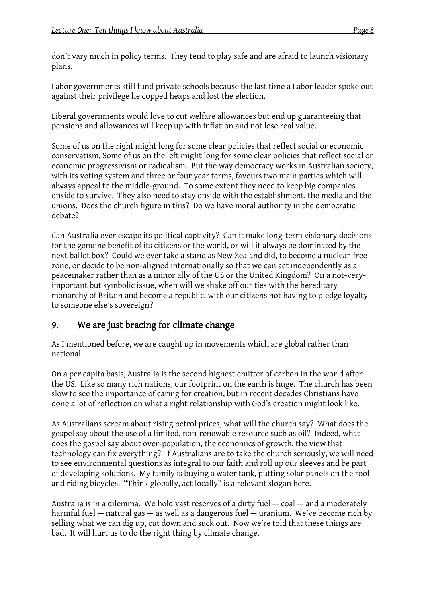don't vary much in policy terms. They tend to play safe and are afraid to launch visionary plans.

Labor governments still fund private schools because the last time a Labor leader spoke out against their privilege he copped heaps and lost the election.

Liberal governments would love to cut welfare allowances but end up guaranteeing that pensions and allowances will keep up with inflation and not lose real value.

Some of us on the right might long for some clear policies that reflect social or economic conservatism. Some of us on the left might long for some clear policies that reflect social or economic progressivism or radicalism. But the way democracy works in Australian society, with its voting system and three or four year terms, favours two main parties which will always appeal to the middle-ground. To some extent they need to keep big companies onside to survive. They also need to stay onside with the establishment, the media and the unions. Does the church figure in this? Do we have moral authority in the democratic debate?

Can Australia ever escape its political captivity? Can it make long-term visionary decisions for the genuine benefit of its citizens or the world, or will it always be dominated by the next ballot box? Could we ever take a stand as New Zealand did, to become a nuclear-free zone, or decide to be non-aligned internationally so that we can act independently as a peacemaker rather than as a minor ally of the US or the United Kingdom? On a not-veryimportant but symbolic issue, when will we shake off our ties with the hereditary monarchy of Britain and become a republic, with our citizens not having to pledge loyalty to someone else's sovereign?

#### 9. We are just bracing for climate change

As I mentioned before, we are caught up in movements which are global rather than national.

On a per capita basis, Australia is the second highest emitter of carbon in the world after the US. Like so many rich nations, our footprint on the earth is huge. The church has been slow to see the importance of caring for creation, but in recent decades Christians have done a lot of reflection on what a right relationship with God's creation might look like.

As Australians scream about rising petrol prices, what will the church say? What does the gospel say about the use of a limited, non-renewable resource such as oil? Indeed, what does the gospel say about over-population, the economics of growth, the view that technology can fix everything? If Australians are to take the church seriously, we will need to see environmental questions as integral to our faith and roll up our sleeves and be part of developing solutions. My family is buying a water tank, putting solar panels on the roof and riding bicycles. "Think globally, act locally" is a relevant slogan here.

Australia is in a dilemma. We hold vast reserves of a dirty fuel — coal — and a moderately harmful fuel — natural gas — as well as a dangerous fuel — uranium. We've become rich by selling what we can dig up, cut down and suck out. Now we're told that these things are bad. It will hurt us to do the right thing by climate change.